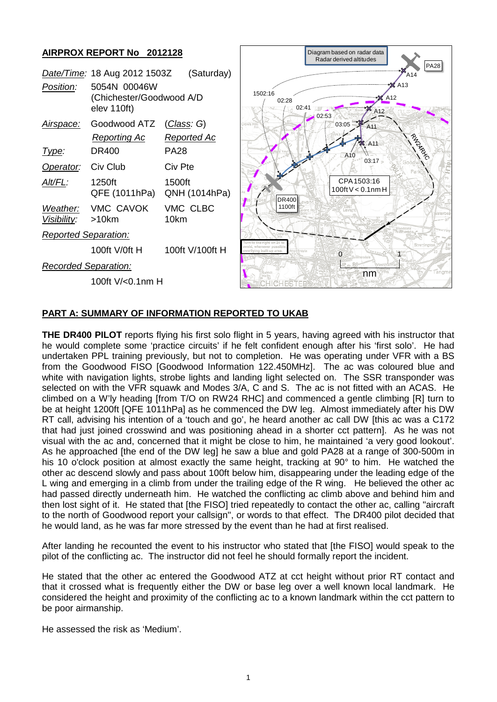

## **PART A: SUMMARY OF INFORMATION REPORTED TO UKAB**

**THE DR400 PILOT** reports flying his first solo flight in 5 years, having agreed with his instructor that he would complete some 'practice circuits' if he felt confident enough after his 'first solo'. He had undertaken PPL training previously, but not to completion. He was operating under VFR with a BS from the Goodwood FISO [Goodwood Information 122.450MHz]. The ac was coloured blue and white with navigation lights, strobe lights and landing light selected on. The SSR transponder was selected on with the VFR squawk and Modes 3/A, C and S. The ac is not fitted with an ACAS. He climbed on a W'ly heading [from T/O on RW24 RHC] and commenced a gentle climbing [R] turn to be at height 1200ft [QFE 1011hPa] as he commenced the DW leg. Almost immediately after his DW RT call, advising his intention of a 'touch and go', he heard another ac call DW [this ac was a C172 that had just joined crosswind and was positioning ahead in a shorter cct pattern]. As he was not visual with the ac and, concerned that it might be close to him, he maintained 'a very good lookout'. As he approached [the end of the DW leg] he saw a blue and gold PA28 at a range of 300-500m in his 10 o'clock position at almost exactly the same height, tracking at 90° to him. He watched the other ac descend slowly and pass about 100ft below him, disappearing under the leading edge of the L wing and emerging in a climb from under the trailing edge of the R wing. He believed the other ac had passed directly underneath him. He watched the conflicting ac climb above and behind him and then lost sight of it. He stated that [the FISO] tried repeatedly to contact the other ac, calling "aircraft to the north of Goodwood report your callsign", or words to that effect. The DR400 pilot decided that he would land, as he was far more stressed by the event than he had at first realised.

After landing he recounted the event to his instructor who stated that [the FISO] would speak to the pilot of the conflicting ac. The instructor did not feel he should formally report the incident.

He stated that the other ac entered the Goodwood ATZ at cct height without prior RT contact and that it crossed what is frequently either the DW or base leg over a well known local landmark. He considered the height and proximity of the conflicting ac to a known landmark within the cct pattern to be poor airmanship.

He assessed the risk as 'Medium'.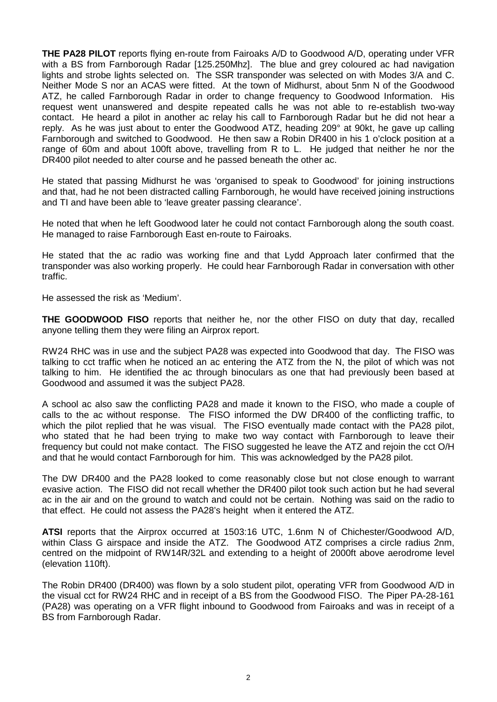**THE PA28 PILOT** reports flying en-route from Fairoaks A/D to Goodwood A/D, operating under VFR with a BS from Farnborough Radar [125.250Mhz]. The blue and grey coloured ac had navigation lights and strobe lights selected on. The SSR transponder was selected on with Modes 3/A and C. Neither Mode S nor an ACAS were fitted. At the town of Midhurst, about 5nm N of the Goodwood ATZ, he called Farnborough Radar in order to change frequency to Goodwood Information. His request went unanswered and despite repeated calls he was not able to re-establish two-way contact. He heard a pilot in another ac relay his call to Farnborough Radar but he did not hear a reply. As he was just about to enter the Goodwood ATZ, heading 209° at 90kt, he gave up calling Farnborough and switched to Goodwood. He then saw a Robin DR400 in his 1 o'clock position at a range of 60m and about 100ft above, travelling from R to L. He judged that neither he nor the DR400 pilot needed to alter course and he passed beneath the other ac.

He stated that passing Midhurst he was 'organised to speak to Goodwood' for joining instructions and that, had he not been distracted calling Farnborough, he would have received joining instructions and TI and have been able to 'leave greater passing clearance'.

He noted that when he left Goodwood later he could not contact Farnborough along the south coast. He managed to raise Farnborough East en-route to Fairoaks.

He stated that the ac radio was working fine and that Lydd Approach later confirmed that the transponder was also working properly. He could hear Farnborough Radar in conversation with other traffic.

He assessed the risk as 'Medium'.

**THE GOODWOOD FISO** reports that neither he, nor the other FISO on duty that day, recalled anyone telling them they were filing an Airprox report.

RW24 RHC was in use and the subject PA28 was expected into Goodwood that day. The FISO was talking to cct traffic when he noticed an ac entering the ATZ from the N, the pilot of which was not talking to him. He identified the ac through binoculars as one that had previously been based at Goodwood and assumed it was the subject PA28.

A school ac also saw the conflicting PA28 and made it known to the FISO, who made a couple of calls to the ac without response. The FISO informed the DW DR400 of the conflicting traffic, to which the pilot replied that he was visual. The FISO eventually made contact with the PA28 pilot, who stated that he had been trying to make two way contact with Farnborough to leave their frequency but could not make contact. The FISO suggested he leave the ATZ and rejoin the cct O/H and that he would contact Farnborough for him. This was acknowledged by the PA28 pilot.

The DW DR400 and the PA28 looked to come reasonably close but not close enough to warrant evasive action. The FISO did not recall whether the DR400 pilot took such action but he had several ac in the air and on the ground to watch and could not be certain. Nothing was said on the radio to that effect. He could not assess the PA28's height when it entered the ATZ.

**ATSI** reports that the Airprox occurred at 1503:16 UTC, 1.6nm N of Chichester/Goodwood A/D, within Class G airspace and inside the ATZ. The Goodwood ATZ comprises a circle radius 2nm, centred on the midpoint of RW14R/32L and extending to a height of 2000ft above aerodrome level (elevation 110ft).

The Robin DR400 (DR400) was flown by a solo student pilot, operating VFR from Goodwood A/D in the visual cct for RW24 RHC and in receipt of a BS from the Goodwood FISO. The Piper PA-28-161 (PA28) was operating on a VFR flight inbound to Goodwood from Fairoaks and was in receipt of a BS from Farnborough Radar.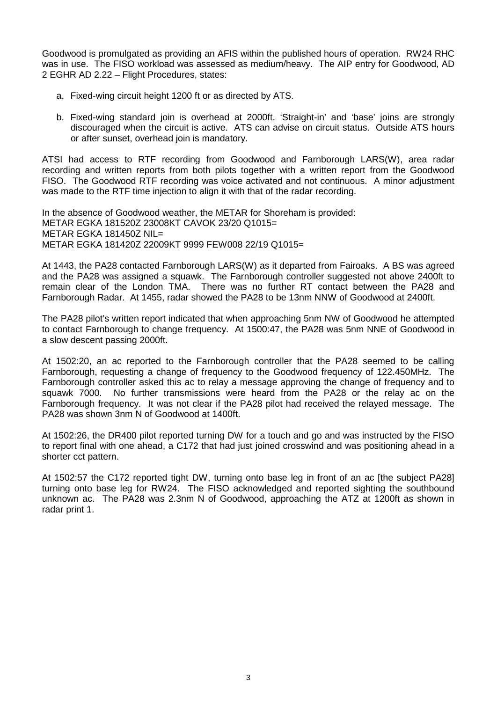Goodwood is promulgated as providing an AFIS within the published hours of operation. RW24 RHC was in use. The FISO workload was assessed as medium/heavy. The AIP entry for Goodwood, AD 2 EGHR AD 2.22 – Flight Procedures, states:

- a. Fixed-wing circuit height 1200 ft or as directed by ATS.
- b. Fixed-wing standard join is overhead at 2000ft. 'Straight-in' and 'base' joins are strongly discouraged when the circuit is active. ATS can advise on circuit status. Outside ATS hours or after sunset, overhead join is mandatory.

ATSI had access to RTF recording from Goodwood and Farnborough LARS(W), area radar recording and written reports from both pilots together with a written report from the Goodwood FISO. The Goodwood RTF recording was voice activated and not continuous. A minor adjustment was made to the RTF time injection to align it with that of the radar recording.

In the absence of Goodwood weather, the METAR for Shoreham is provided: METAR EGKA 181520Z 23008KT CAVOK 23/20 Q1015= METAR EGKA 181450Z NIL= METAR EGKA 181420Z 22009KT 9999 FEW008 22/19 Q1015=

At 1443, the PA28 contacted Farnborough LARS(W) as it departed from Fairoaks. A BS was agreed and the PA28 was assigned a squawk. The Farnborough controller suggested not above 2400ft to remain clear of the London TMA. There was no further RT contact between the PA28 and Farnborough Radar. At 1455, radar showed the PA28 to be 13nm NNW of Goodwood at 2400ft.

The PA28 pilot's written report indicated that when approaching 5nm NW of Goodwood he attempted to contact Farnborough to change frequency. At 1500:47, the PA28 was 5nm NNE of Goodwood in a slow descent passing 2000ft.

At 1502:20, an ac reported to the Farnborough controller that the PA28 seemed to be calling Farnborough, requesting a change of frequency to the Goodwood frequency of 122.450MHz. The Farnborough controller asked this ac to relay a message approving the change of frequency and to squawk 7000. No further transmissions were heard from the PA28 or the relay ac on the Farnborough frequency. It was not clear if the PA28 pilot had received the relayed message. The PA28 was shown 3nm N of Goodwood at 1400ft.

At 1502:26, the DR400 pilot reported turning DW for a touch and go and was instructed by the FISO to report final with one ahead, a C172 that had just joined crosswind and was positioning ahead in a shorter cct pattern.

At 1502:57 the C172 reported tight DW, turning onto base leg in front of an ac [the subject PA28] turning onto base leg for RW24. The FISO acknowledged and reported sighting the southbound unknown ac. The PA28 was 2.3nm N of Goodwood, approaching the ATZ at 1200ft as shown in radar print 1.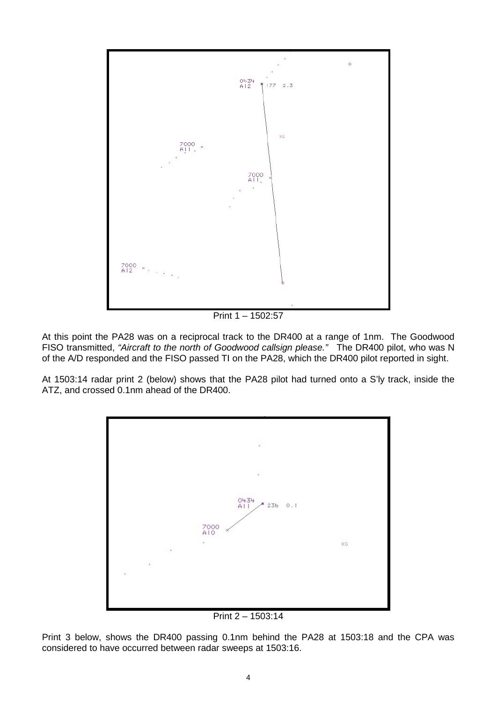

Print 1 – 1502:57

At this point the PA28 was on a reciprocal track to the DR400 at a range of 1nm. The Goodwood FISO transmitted, *"Aircraft to the north of Goodwood callsign please."* The DR400 pilot, who was N of the A/D responded and the FISO passed TI on the PA28, which the DR400 pilot reported in sight.

At 1503:14 radar print 2 (below) shows that the PA28 pilot had turned onto a S'ly track, inside the ATZ, and crossed 0.1nm ahead of the DR400.



Print 2 – 1503:14

Print 3 below, shows the DR400 passing 0.1nm behind the PA28 at 1503:18 and the CPA was considered to have occurred between radar sweeps at 1503:16.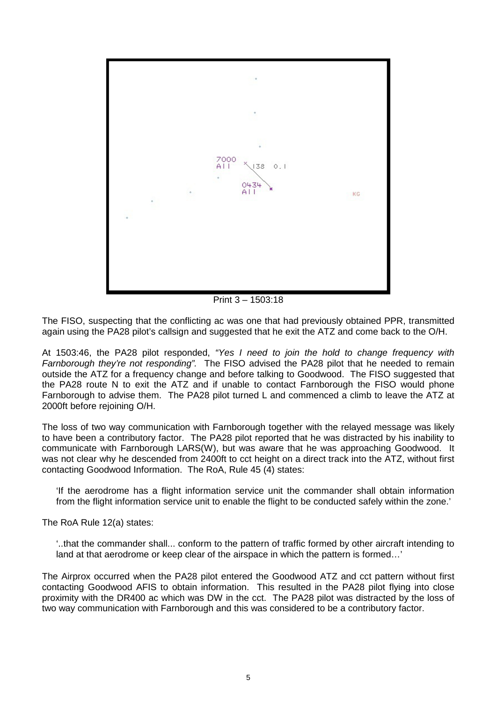

Print 3 – 1503:18

The FISO, suspecting that the conflicting ac was one that had previously obtained PPR, transmitted again using the PA28 pilot's callsign and suggested that he exit the ATZ and come back to the O/H.

At 1503:46, the PA28 pilot responded, *"Yes I need to join the hold to change frequency with Farnborough they're not responding".* The FISO advised the PA28 pilot that he needed to remain outside the ATZ for a frequency change and before talking to Goodwood. The FISO suggested that the PA28 route N to exit the ATZ and if unable to contact Farnborough the FISO would phone Farnborough to advise them. The PA28 pilot turned L and commenced a climb to leave the ATZ at 2000ft before rejoining O/H.

The loss of two way communication with Farnborough together with the relayed message was likely to have been a contributory factor. The PA28 pilot reported that he was distracted by his inability to communicate with Farnborough LARS(W), but was aware that he was approaching Goodwood. It was not clear why he descended from 2400ft to cct height on a direct track into the ATZ, without first contacting Goodwood Information. The RoA, Rule 45 (4) states:

'If the aerodrome has a flight information service unit the commander shall obtain information from the flight information service unit to enable the flight to be conducted safely within the zone.'

The RoA Rule 12(a) states:

'..that the commander shall... conform to the pattern of traffic formed by other aircraft intending to land at that aerodrome or keep clear of the airspace in which the pattern is formed…'

The Airprox occurred when the PA28 pilot entered the Goodwood ATZ and cct pattern without first contacting Goodwood AFIS to obtain information. This resulted in the PA28 pilot flying into close proximity with the DR400 ac which was DW in the cct. The PA28 pilot was distracted by the loss of two way communication with Farnborough and this was considered to be a contributory factor.